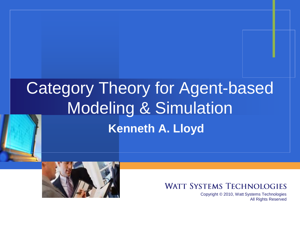# Category Theory for Agent-based Modeling & Simulation **Kenneth A. Lloyd**



#### **WATT SYSTEMS TECHNOLOGIES**

Copyright © 2010, Watt Systems Technologies All Rights Reserved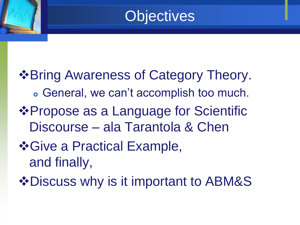### **Objectives**

 $\triangle$ **Bring Awareness of Category Theory.**  General, we can't accomplish too much. Propose as a Language for Scientific Discourse – ala Tarantola & Chen  $\div$  **Give a Practical Example,** and finally,

 $\triangle$ **Discuss why is it important to ABM&S**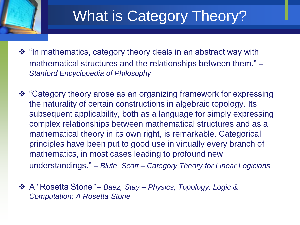### What is Category Theory?

❖ "In mathematics, category theory deals in an abstract way with mathematical structures and the relationships between them." – *Stanford Encyclopedia of Philosophy*

- "Category theory arose as an organizing framework for expressing the naturality of certain constructions in algebraic topology. Its subsequent applicability, both as a language for simply expressing complex relationships between mathematical structures and as a mathematical theory in its own right, is remarkable. Categorical principles have been put to good use in virtually every branch of mathematics, in most cases leading to profound new understandings." – *Blute, Scott – Category Theory for Linear Logicians*
- A "Rosetta Stone*" – Baez, Stay – Physics, Topology, Logic & Computation: A Rosetta Stone*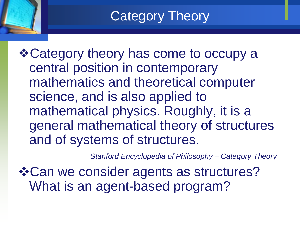#### Category Theory

**\* Category theory has come to occupy a** central position in contemporary mathematics and theoretical computer science, and is also applied to mathematical physics. Roughly, it is a general mathematical theory of structures and of systems of structures.

*Stanford Encyclopedia of Philosophy – Category Theory*

Can we consider agents as structures? What is an agent-based program?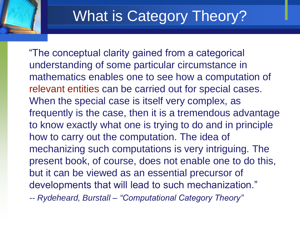# What is Category Theory?

 "The conceptual clarity gained from a categorical understanding of some particular circumstance in mathematics enables one to see how a computation of relevant entities can be carried out for special cases. When the special case is itself very complex, as frequently is the case, then it is a tremendous advantage to know exactly what one is trying to do and in principle how to carry out the computation. The idea of mechanizing such computations is very intriguing. The present book, of course, does not enable one to do this, but it can be viewed as an essential precursor of developments that will lead to such mechanization." -- *Rydeheard, Burstall – "Computational Category Theory"*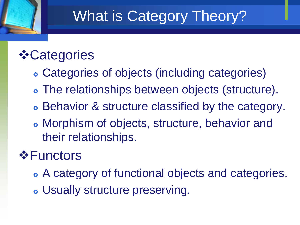# What is Category Theory?

#### *❖* Categories

- Categories of objects (including categories)
- The relationships between objects (structure).
- Behavior & structure classified by the category.
- Morphism of objects, structure, behavior and their relationships.

#### **☆Functors**

- A category of functional objects and categories.
- Usually structure preserving.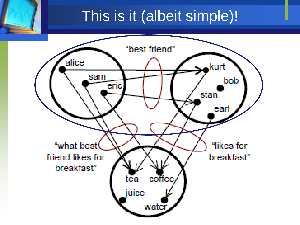#### This is it (albeit simple)!

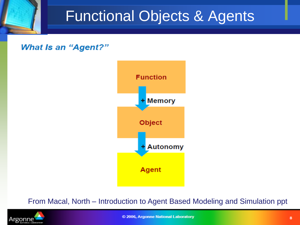### Functional Objects & Agents

**What Is an "Agent?"** 



#### From Macal, North – Introduction to Agent Based Modeling and Simulation ppt

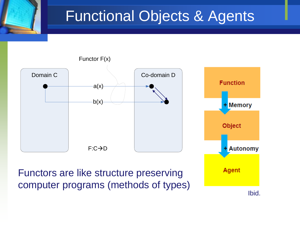### Functional Objects & Agents



Functors are like structure preserving computer programs (methods of types)

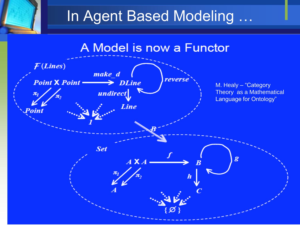# In Agent Based Modeling …

#### A Model is now a Functor

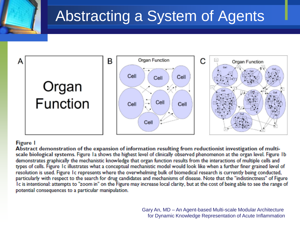# Abstracting a System of Agents



#### **Figure I**

Abstract demonstration of the expansion of information resulting from reductionist investigation of multiscale biological systems. Figure Ia shows the highest level of clinically observed phenomenon at the organ level. Figure 1b demonstrates graphically the mechanistic knowledge that organ function results from the interactions of multiple cells and types of cells. Figure 1c illustrates what a conceptual mechanistic model would look like when a further finer grained level of resolution is used. Figure 1c represents where the overwhelming bulk of biomedical research is currently being conducted, particularly with respect to the search for drug candidates and mechanisms of disease. Note that the "indistinctness" of Figure Ic is intentional: attempts to "zoom in" on the Figure may increase local clarity, but at the cost of being able to see the range of potential consequences to a particular manipulation.

> Gary An, MD – An Agent-based Multi-scale Modular Architecture for Dynamic Knowledge Representation of Acute Inflammation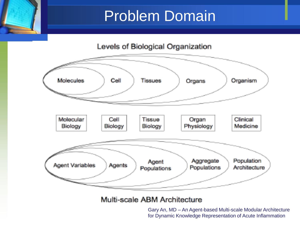### Problem Domain



#### Multi-scale ABM Architecture

Gary An, MD – An Agent-based Multi-scale Modular Architecture for Dynamic Knowledge Representation of Acute Inflammation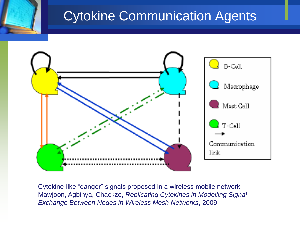#### Cytokine Communication Agents



Cytokine-like "danger" signals proposed in a wireless mobile network Mawjoon, Agbinya, Chackzo, *Replicating Cytokines in Modelling Signal Exchange Between Nodes in Wireless Mesh Networks*, 2009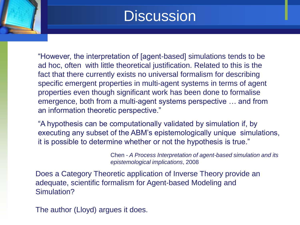#### **Discussion**

"However, the interpretation of [agent-based] simulations tends to be ad hoc, often with little theoretical justification. Related to this is the fact that there currently exists no universal formalism for describing specific emergent properties in multi-agent systems in terms of agent properties even though significant work has been done to formalise emergence, both from a multi-agent systems perspective … and from an information theoretic perspective."

"A hypothesis can be computationally validated by simulation if, by executing any subset of the ABM's epistemologically unique simulations, it is possible to determine whether or not the hypothesis is true."

> Chen *- A Process Interpretation of agent-based simulation and its epistemological implications*, 2008

Does a Category Theoretic application of Inverse Theory provide an adequate, scientific formalism for Agent-based Modeling and Simulation?

The author (Lloyd) argues it does.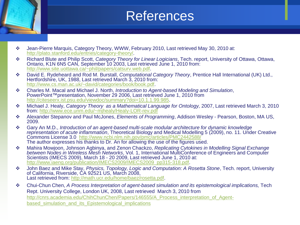#### References

- Jean-Pierre Marquis, Category Theory, WWW, February 2010, Last retrieved May 30, 2010 at: <http://plato.stanford.edu/entries/category-theory/>.
- Richard Blute and Philip Scott, *Category Theory for Linear Logicians*, Tech. report, University of Ottawa, Ottawa, Ontario, K1N 6N5 CAN, September 10 2003, Last retrieved June 1, 2010 from: [http://www.site.uottawa.ca/~phil/papers/catsurv.web.pdf.](http://www.site.uottawa.ca/~phil/papers/catsurv.web.pdf)
- David E. Rydeheard and Rod M. Burstall, *Computational Category Theory*, Prentice Hall International (UK) Ltd., Hertfordshire, UK, 1988, Last retrieved March 3, 2010 from: <http://www.cs.man.ac.uk/~david/categories/book/book.pdf>.
- Charles M. Macal and Michael J. North, *Introduction to Agent-based Modeling and Simulation*, PowerPoint™presentation, November 29 2006, Last retrieved June 1, 2010 from [http://citeseerx.ist.psu.edu/viewdoc/summary?doi=10.1.1.99.985.](http://citeseerx.ist.psu.edu/viewdoc/summary?doi=10.1.1.99.985)
- Michael J. Healy, *Category Theory as a Mathematical Language for Ontology,* 2007, Last retrieved March 3, 2010 from:<http://www.ece.unm.edu/~mjhealy/Healy-LOR-rev.pdf>
- Alexander Stepanov and Paul McJones, *Elements of Programming*, Addison Wesley Pearson, Boston, MA US, 2009.
- Gary An M.D., *Introduction of an agent-based multi-scale modular architecture for dynamic knowledge representation of acute inflammation*, Theoretical Biology and Medical Modelling 5 (2009), no. 11. Under Creative Commons License 3.0 <http://www.ncbi.nlm.nih.gov/pmc/articles/PMC2442588/> The author expresses his thanks to Dr. An for allowing the use of the figures used.
- Mahira Mowjoon, Johnson Agbinya, and Zenon Chackzo, *Replicating Cytokines in Modelling Signal Exchange between Nodes in Wireless Mesh Networks*, Vol. 1, International MultiConference of Engineers and Computer Scientists (IMECS 2009), March 18 - 20 2009, Last retrieved June 1, 2010 at: [http://www.iaeng.org/publication/IMECS2009/IMECS2009\\_pp315-318.pdf.](http://www.iaeng.org/publication/IMECS2009/IMECS2009_pp315-318.pdf)
- John Baez and Mike Stay, *Physics, Topology, Logic and Computation: A Rosetta Stone*, Tech. report, University of California, Riverside, CA 92521 US, March 2008, Last retrieved from: [http://math.ucr.edu/home/baez/rosetta.pdf.](http://math.ucr.edu/home/baez/rosetta.pdf)
- Chui-Chun Chen, *A Process Interpretation of agent-based simulation and its epistemological implications,* Tech Rept. University College, London UK, 2008, Last retrieved March 3, 2010 from [http://cnrs.academia.edu/ChihChunChen/Papers/146555/A\\_Process\\_interpretation\\_of\\_Agent](http://cnrs.academia.edu/ChihChunChen/Papers/146555/A_Process_interpretation_of_Agent-based_simulation_and_its_Epistemological_implications)based simulation and its Epistemological implications